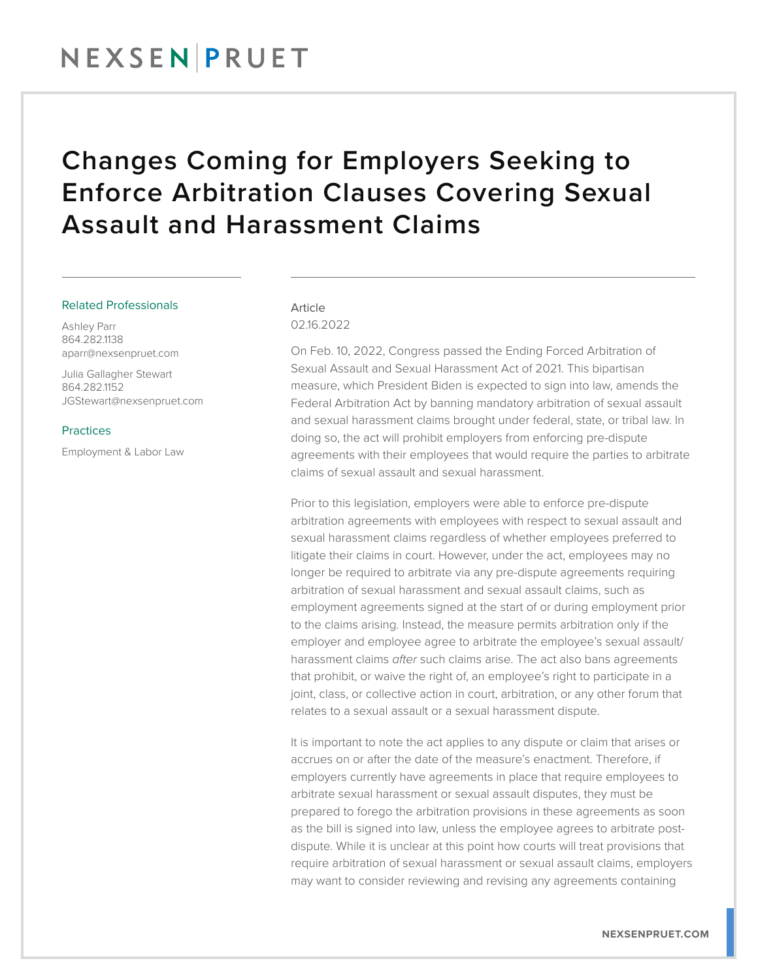## NEXSENPRUET

## Changes Coming for Employers Seeking to Enforce Arbitration Clauses Covering Sexual Assault and Harassment Claims

#### Related Professionals

Ashley Parr 864.282.1138 aparr@nexsenpruet.com

Julia Gallagher Stewart 864.282.1152 JGStewart@nexsenpruet.com

#### Practices

Employment & Labor Law

### Article

02.16.2022

On Feb. 10, 2022, Congress passed the Ending Forced Arbitration of Sexual Assault and Sexual Harassment Act of 2021. This bipartisan measure, which President Biden is expected to sign into law, amends the Federal Arbitration Act by banning mandatory arbitration of sexual assault and sexual harassment claims brought under federal, state, or tribal law. In doing so, the act will prohibit employers from enforcing pre-dispute agreements with their employees that would require the parties to arbitrate claims of sexual assault and sexual harassment.

Prior to this legislation, employers were able to enforce pre-dispute arbitration agreements with employees with respect to sexual assault and sexual harassment claims regardless of whether employees preferred to litigate their claims in court. However, under the act, employees may no longer be required to arbitrate via any pre-dispute agreements requiring arbitration of sexual harassment and sexual assault claims, such as employment agreements signed at the start of or during employment prior to the claims arising. Instead, the measure permits arbitration only if the employer and employee agree to arbitrate the employee's sexual assault/ harassment claims *after* such claims arise. The act also bans agreements that prohibit, or waive the right of, an employee's right to participate in a joint, class, or collective action in court, arbitration, or any other forum that relates to a sexual assault or a sexual harassment dispute.

It is important to note the act applies to any dispute or claim that arises or accrues on or after the date of the measure's enactment. Therefore, if employers currently have agreements in place that require employees to arbitrate sexual harassment or sexual assault disputes, they must be prepared to forego the arbitration provisions in these agreements as soon as the bill is signed into law, unless the employee agrees to arbitrate postdispute. While it is unclear at this point how courts will treat provisions that require arbitration of sexual harassment or sexual assault claims, employers may want to consider reviewing and revising any agreements containing